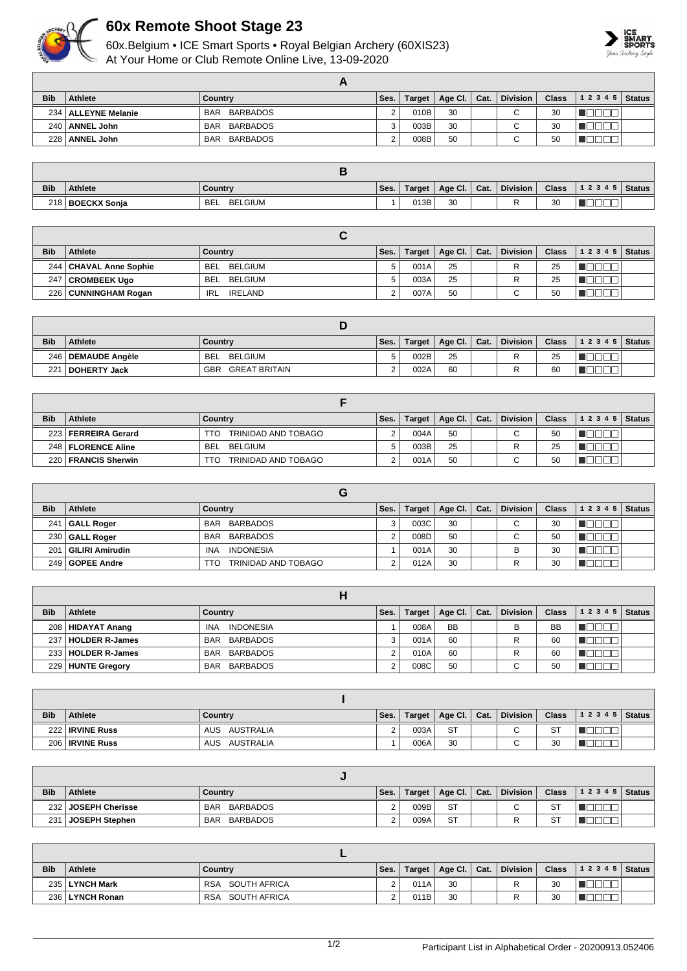

## **60x Remote Shoot Stage 23**

60x.Belgium • ICE Smart Sports • Royal Belgian Archery (60XIS23) At Your Home or Club Remote Online Live, 13-09-2020



| <b>Bib</b> | <b>Athlete</b>        | Country                | Ses. | <b>Target</b> | Age Cl. | $\vert$ Cat. | <b>Division</b>          | Class | $12345$ Status |  |
|------------|-----------------------|------------------------|------|---------------|---------|--------------|--------------------------|-------|----------------|--|
|            | 234   ALLEYNE Melanie | BARBADOS<br><b>BAR</b> |      | 010B          | 30      |              | $\overline{\phantom{0}}$ | 30    |                |  |
|            | 240   ANNEL John      | BAR BARBADOS           | ົ    | 003B          | 30      |              | $\sim$                   | 30    |                |  |
|            | 228   ANNEL John      | BARBADOS<br><b>BAR</b> |      | 008B          | 50      |              | ⌒                        | 50    |                |  |

| <b>Bib</b> | <b>Athlete</b>     | Country               | Ses. | Target | Age Cl.   Cat. | <b>Division</b> | <b>Class</b> | $ 12345 $ Status |  |
|------------|--------------------|-----------------------|------|--------|----------------|-----------------|--------------|------------------|--|
|            | 218   BOECKX Sonja | BELGIUM<br><b>BEL</b> |      | 013B   | 30             |                 | 30           | _____            |  |

| <b>Bib</b> | <b>Athlete</b>           | Country                      | Ses. | Target | $\vert$ Age Cl. $\vert$ Cat. | <b>Division</b> | <b>Class</b> | $12345$ Status |  |
|------------|--------------------------|------------------------------|------|--------|------------------------------|-----------------|--------------|----------------|--|
|            | 244   CHAVAL Anne Sophie | BELGIUM<br>BEI               |      | 001A   | 25                           | D               | 25           |                |  |
| 247        | <b>CROMBEEK Ugo</b>      | BELGIUM<br><b>BEL</b>        |      | 003A   | 25                           |                 | 25           |                |  |
|            | 226   CUNNINGHAM Rogan   | <b>IRELAND</b><br><b>IRL</b> |      | 007A   | 50                           | $\sim$          | 50           |                |  |

| <b>Bib</b> | Athlete        | Country                            | Ses. | Target | Age Cl.   Cat. | <b>Division</b> | <b>Class</b> | $ 12345 $ Status |  |
|------------|----------------|------------------------------------|------|--------|----------------|-----------------|--------------|------------------|--|
| 246        | DEMAUDE Angèle | BELGIUM<br><b>BEL</b>              |      | 002B   | 25             |                 | 25           |                  |  |
| 221        | DOHERTY Jack   | <b>GREAT BRITAIN</b><br><b>GBR</b> |      | 002A   | 60             |                 | 60           |                  |  |

| <b>Bib</b> | <b>Athlete</b>         | Country                    | Ses. | Target | Age Cl. $ $ | Cat. | <b>Division</b>          | <b>Class</b> | 12345 | Status |
|------------|------------------------|----------------------------|------|--------|-------------|------|--------------------------|--------------|-------|--------|
| 223        | <b>FERREIRA Gerard</b> | TRINIDAD AND TOBAGO<br>TTO |      | 004A   | 50          |      | $\sim$                   | 50           |       |        |
|            | 248   FLORENCE Aline   | BELGIUM<br><b>BEI</b>      |      | 003B   | 25          |      |                          | 25           |       |        |
| 220        | <b>FRANCIS Sherwin</b> | TRINIDAD AND TOBAGO<br>TTO |      | 001A   | 50          |      | $\overline{\phantom{0}}$ | 50           |       |        |

|            |                        | G                              |      |        |                      |                 |              |       |               |
|------------|------------------------|--------------------------------|------|--------|----------------------|-----------------|--------------|-------|---------------|
| <b>Bib</b> | <b>Athlete</b>         | Country                        | Ses. | Target | Age Cl. $\vert$ Cat. | <b>Division</b> | <b>Class</b> | 12345 | <b>Status</b> |
| 241        | GALL Roger             | BAR BARBADOS                   |      | 003C   | 30                   | $\sim$<br>◡     | 30           |       |               |
|            | 230 GALL Roger         | BAR BARBADOS                   |      | 008D   | 50                   | $\sim$<br>v     | 50           |       |               |
| 201        | <b>GILIRI Amirudin</b> | <b>INDONESIA</b><br><b>INA</b> |      | 001A   | 30                   |                 | 30           |       |               |
|            | 249   GOPEE Andre      | TRINIDAD AND TOBAGO<br>TTO     |      | 012A   | 30                   |                 | 30           |       |               |

| <b>Bib</b> | <b>Athlete</b>        | Country                        | Ses. | Target | Age Cl.   | Cat. | <b>Division</b> | <b>Class</b> | 1 2 3 4 5 | <b>Status</b> |
|------------|-----------------------|--------------------------------|------|--------|-----------|------|-----------------|--------------|-----------|---------------|
|            | 208   HIDAYAT Anang   | <b>INDONESIA</b><br><b>INA</b> |      | 008A   | <b>BB</b> |      | B               | <b>BB</b>    |           |               |
| 237.       | <b>HOLDER R-James</b> | BAR BARBADOS                   | 3    | 001A   | 60        |      |                 | 60           |           |               |
|            | 233   HOLDER R-James  | BARBADOS<br>BAR                |      | 010A   | 60        |      |                 | 60           |           |               |
|            | 229 HUNTE Gregory     | BARBADOS<br><b>BAR</b>         |      | 008C   | 50        |      | ⌒<br>◡          | 50           |           |               |

| <b>Bib</b> | <b>Athlete</b>    | Country       | Ses. | Target | Age Cl. $ $ | Cat. | <b>Division</b>          | Class,    | $12345$ Status |  |
|------------|-------------------|---------------|------|--------|-------------|------|--------------------------|-----------|----------------|--|
|            | 222   IRVINE Russ | AUS AUSTRALIA | ∠    | 003A   | <b>ST</b>   |      | $\overline{\phantom{0}}$ | <b>ST</b> |                |  |
|            | 206   IRVINE Russ | AUS AUSTRALIA |      | 006A   | 30          |      |                          | 30        |                |  |

| <b>Bib</b> | Athlete             | Country                | Ses. |      | Target   Age Cl.   Cat. | <b>Division</b> | <b>Class</b> | $\vert$ 1 2 3 4 5 Status |  |
|------------|---------------------|------------------------|------|------|-------------------------|-----------------|--------------|--------------------------|--|
|            | 232 JOSEPH Cherisse | BAR BARBADOS           |      | 009B | <b>ST</b>               | $\sim$          | <b>ST</b>    |                          |  |
| 231        | JOSEPH Stephen      | BARBADOS<br><b>BAR</b> |      | 009A | <b>ST</b>               |                 | <b>ST</b>    |                          |  |

| <b>Bib</b> | <b>Athlete</b>  | Country                    | Ses. | Target | Age Cl.   Cat. | <b>Division</b> | Class 1 | $ 1\;2\;3\;4\;5 $ Status |  |
|------------|-----------------|----------------------------|------|--------|----------------|-----------------|---------|--------------------------|--|
|            | 235 LYNCH Mark  | RSA SOUTH AFRICA           |      | 011A   | 30             |                 | 30      |                          |  |
|            | 236 LYNCH Ronan | SOUTH AFRICA<br><b>RSA</b> |      | 011B   | 30             |                 | 30      |                          |  |

| 1/2 | Participant List in Alphabetical Order - 20200913.052406 |  |
|-----|----------------------------------------------------------|--|
|     |                                                          |  |